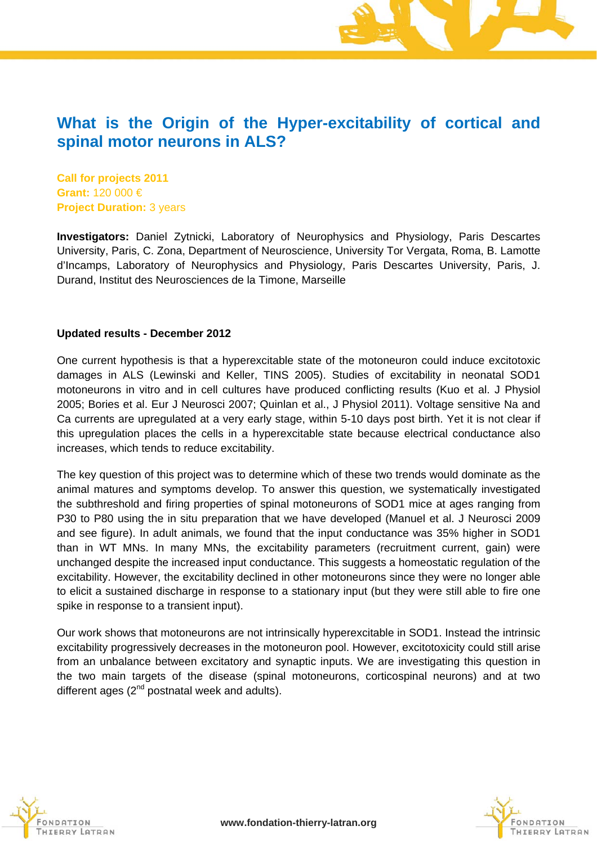## **What is the Origin of the Hyper-excitability of cortical and spinal motor neurons in ALS?**

**Call for projects 2011 Grant:** 120 000 € **Project Duration:** 3 years

**Investigators:** Daniel Zytnicki, Laboratory of Neurophysics and Physiology, Paris Descartes University, Paris, C. Zona, Department of Neuroscience, University Tor Vergata, Roma, B. Lamotte d'Incamps, Laboratory of Neurophysics and Physiology, Paris Descartes University, Paris, J. Durand, Institut des Neurosciences de la Timone, Marseille

#### **Updated results - December 2012**

One current hypothesis is that a hyperexcitable state of the motoneuron could induce excitotoxic damages in ALS (Lewinski and Keller, TINS 2005). Studies of excitability in neonatal SOD1 motoneurons in vitro and in cell cultures have produced conflicting results (Kuo et al. J Physiol 2005; Bories et al. Eur J Neurosci 2007; Quinlan et al., J Physiol 2011). Voltage sensitive Na and Ca currents are upregulated at a very early stage, within 5-10 days post birth. Yet it is not clear if this upregulation places the cells in a hyperexcitable state because electrical conductance also increases, which tends to reduce excitability.

The key question of this project was to determine which of these two trends would dominate as the animal matures and symptoms develop. To answer this question, we systematically investigated the subthreshold and firing properties of spinal motoneurons of SOD1 mice at ages ranging from P30 to P80 using the in situ preparation that we have developed (Manuel et al. J Neurosci 2009 and see figure). In adult animals, we found that the input conductance was 35% higher in SOD1 than in WT MNs. In many MNs, the excitability parameters (recruitment current, gain) were unchanged despite the increased input conductance. This suggests a homeostatic regulation of the excitability. However, the excitability declined in other motoneurons since they were no longer able to elicit a sustained discharge in response to a stationary input (but they were still able to fire one spike in response to a transient input).

Our work shows that motoneurons are not intrinsically hyperexcitable in SOD1. Instead the intrinsic excitability progressively decreases in the motoneuron pool. However, excitotoxicity could still arise from an unbalance between excitatory and synaptic inputs. We are investigating this question in the two main targets of the disease (spinal motoneurons, corticospinal neurons) and at two different ages  $(2^{nd}$  postnatal week and adults).



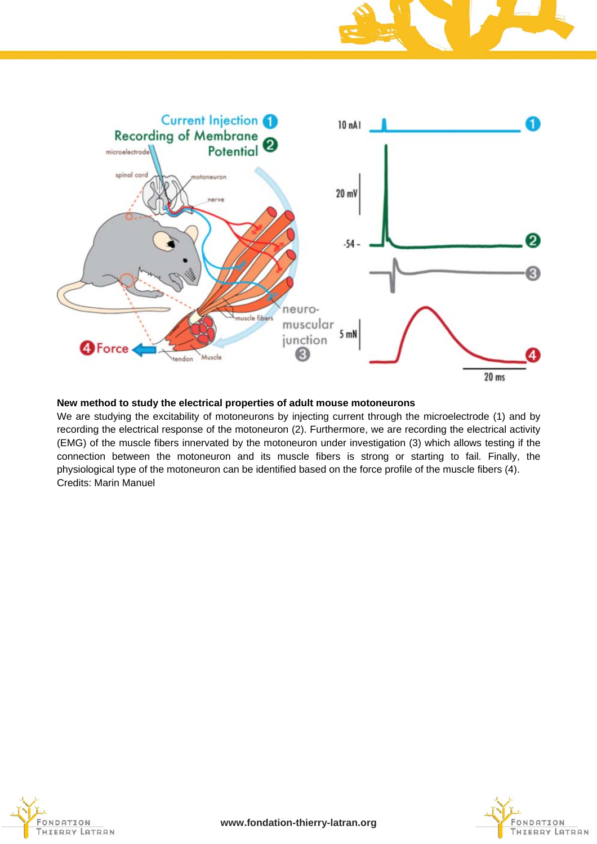

#### **New method to study the electrical properties of adult mouse motoneurons**

We are studying the excitability of motoneurons by injecting current through the microelectrode (1) and by recording the electrical response of the motoneuron (2). Furthermore, we are recording the electrical activity (EMG) of the muscle fibers innervated by the motoneuron under investigation (3) which allows testing if the connection between the motoneuron and its muscle fibers is strong or starting to fail. Finally, the physiological type of the motoneuron can be identified based on the force profile of the muscle fibers (4). Credits: Marin Manuel



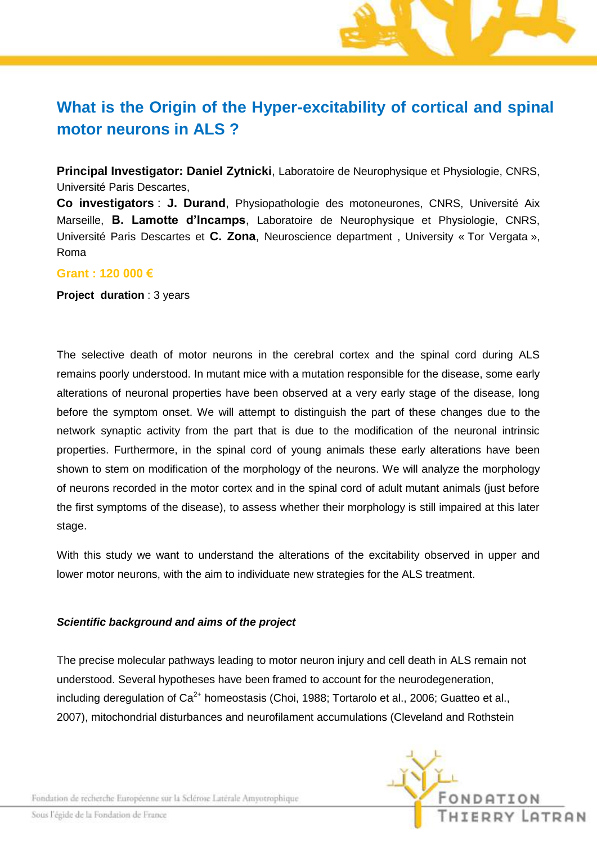# **What is the Origin of the Hyper-excitability of cortical and spinal motor neurons in ALS ?**

**Principal Investigator: Daniel Zytnicki**, Laboratoire de Neurophysique et Physiologie, CNRS, Université Paris Descartes,

**Co investigators** : **J. Durand**, Physiopathologie des motoneurones, CNRS, Université Aix Marseille, **B. Lamotte d'Incamps**, Laboratoire de Neurophysique et Physiologie, CNRS, Université Paris Descartes et **C. Zona**, Neuroscience department , University « Tor Vergata », Roma

### **Grant : 120 000 €**

**Project duration** : 3 years

The selective death of motor neurons in the cerebral cortex and the spinal cord during ALS remains poorly understood. In mutant mice with a mutation responsible for the disease, some early alterations of neuronal properties have been observed at a very early stage of the disease, long before the symptom onset. We will attempt to distinguish the part of these changes due to the network synaptic activity from the part that is due to the modification of the neuronal intrinsic properties. Furthermore, in the spinal cord of young animals these early alterations have been shown to stem on modification of the morphology of the neurons. We will analyze the morphology of neurons recorded in the motor cortex and in the spinal cord of adult mutant animals (just before the first symptoms of the disease), to assess whether their morphology is still impaired at this later stage.

With this study we want to understand the alterations of the excitability observed in upper and lower motor neurons, with the aim to individuate new strategies for the ALS treatment.

### *Scientific background and aims of the project*

The precise molecular pathways leading to motor neuron injury and cell death in ALS remain not understood. Several hypotheses have been framed to account for the neurodegeneration, including deregulation of  $Ca^{2+}$  homeostasis (Choi, 1988; Tortarolo et al., 2006; Guatteo et al., 2007), mitochondrial disturbances and neurofilament accumulations (Cleveland and Rothstein



Fondation de recherche Européenne sur la Sclérose Latérale Amyotrophique